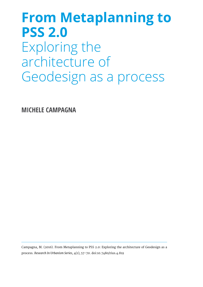# **From Metaplanning to PSS 2.0** Exploring the architecture of Geodesign as a process

**MICHELE CAMPAGNA**

Campagna, M. (2016). From Metaplanning to PSS 2.0: Exploring the architecture of Geodesign as a process. *Research In Urbanism Series*, 4(1), 57-70. doi:10.7480/rius.4.819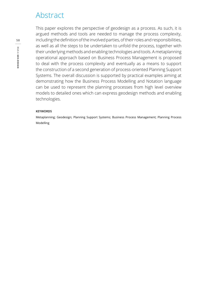# Abstract

This paper explores the perspective of geodesign as a process. As such, it is argued methods and tools are needed to manage the process complexity, including the definition of the involved parties, of their roles and responsibilities, as well as all the steps to be undertaken to unfold the process, together with their underlying methods and enabling technologies and tools. A metaplanning operational approach based on Business Process Management is proposed to deal with the process complexity and eventually as a means to support the construction of a second generation of process-oriented Planning Support Systems. The overall discussion is supported by practical examples aiming at demonstrating how the Business Process Modelling and Notation language can be used to represent the planning processes from high level overview models to detailed ones which can express geodesign methods and enabling technologies.

#### **KEYWORDS**

Metaplanning; Geodesign; Planning Support Systems; Business Process Management; Planning Process Modelling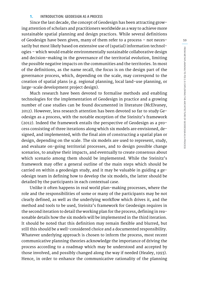#### **1. INTRODUCTION: GEODESIGN AS A PROCESS**

Since the last decade, the concept of Geodesign has been attracting growing attention of scholars and practitioners worldwide as a way to achieve more sustainable spatial planning and design practices. While several definitions of Geodesign have been given, many of them refer to a process – not necessarily but most likely based on extensive use of (spatial) information technologies – which would enable environmentally sustainable collaborative design and decision-making in the governance of the territorial evolution, limiting the possible negative impacts on the communities and the territories. In most of the definitions, as the name recall, the focus is on the design part of the governance process, which, depending on the scale, may correspond to the creation of spatial plans (e.g. regional planning, local land-use planning, or large-scale development project design).

Much research have been devoted to formalise methods and enabling technologies for the implementation of Geodesign in practice and a growing number of case studies can be found documented in literature (McElvaney, 2012). However, less research attention has been devoted so far to study Geodesign as a process, with the notable exception of the Steinitz's framework (2012). Indeed the framework entails the perspective of Geodesign as a process consisting of three iterations along which six models are envisioned, designed, and implemented, with the final aim of constructing a spatial plan or design, depending on the scale. The six models are used to represent, study, and evaluate on-going territorial processes, and to design possible change scenarios, to analyse their impacts, and eventually to create consensus about which scenario among them should be implemented. While the Steinitz's framework may offer a general outline of the main steps which should be carried on within a geodesign study, and it may be valuable in guiding a geodesign team in defining how to develop the six models, the latter should be detailed by the participants in each contextual case.

Unlike it often happens in real world plan-making processes, where the role and the responsibilities of some or many of the participants may be not clearly defined, as well as the underlying workflow which drives it, and the method and tools to be used, Steinitz's framework for Geodesign requires in the second iteration to detail the working plan for the process, defining in reasonable details how the six models will be implemented in the third iteration. It should be noted that this definition may remain flexible and blurred, but still this should be a well-considered choice and a documented responsibility. Whatever underlying approach is chosen to inform the process, most recent communicative planning theories acknowledge the importance of driving the process according to a roadmap which may be understood and accepted by those involved, and possibly changed along the way if needed (Healey, 1993). Hence, in order to enhance the communicative rationality of the planning

**59**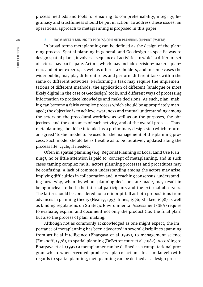process methods and tools for ensuring its comprehensibility, integrity, legitimacy and trustfulness should be put in action. To address these issues, an operational approach to metaplanning is proposed in this paper.

#### **2. FROM METAPLANNING TO PROCESS-ORIENTED PLANNING SUPPORT SYSTEMS**

In broad terms metaplanning can be defined as the design of the planning process. Spatial planning in general, and Geodesign as specific way to design spatial plans, involves a sequence of activities to which a different set of actors may participate. Actors, which may include decision-makers, planners and other experts, as well as other stakeholders, and in some cases the wider public, may play different roles and perform different tasks within the same or different activities. Performing a task may require the implementations of different methods, the application of different (analogue or most likely digital in the case of Geodesign) tools, and different ways of processing information to produce knowledge and make decisions. As such, plan-making can become a fairly complex process which should be appropriately managed; the objective is to achieve awareness and mutual understanding among the actors on the procedural workflow as well as on the purposes, the objectives, and the outcomes of each activity, and of the overall process. Thus, metaplanning should be intended as a preliminary design step which returns an agreed 'to-be' model to be used for the management of the planning process. Such model should be as flexible as to be iteratively updated along the process life-cycle, if needed.

Often in spatial planning (e.g. Regional Planning or Local Land Use Planning), no or little attention is paid to concept of metaplanning, and in such cases taming complex multi-actors planning processes and procedures may be confusing. A lack of common understanding among the actors may arise, implying difficulties in collaboration and in reaching consensus; understanding how, why, when, by whom planning decisions are made, may result in being unclear to both the internal participants and the external observers. The latter should be considered not a minor pitfall as both propositions from advances in planning theory (Healey, 1993; Innes, 1996; Khakee, 1998) as well as binding regulations on Strategic Environmental Assessment (SEA) require to evaluate, explain and document not only the product (i.e. the final plan) but also the process of plan-making.

Although not as commonly acknowledged as one might expect, the importance of metaplanning has been advocated in several disciplines spanning from artificial intelligence (Bhargava et al.,1997), to management science (Emshoff, 1978), to spatial planning (DeBettencourt et al.,1982). According to Bhargava et al. (1997) a metaplanner can be defined as a computational program which, when executed, produces a plan of actions. In a similar vein with regards to spatial planning, metaplanning can be defined as a design process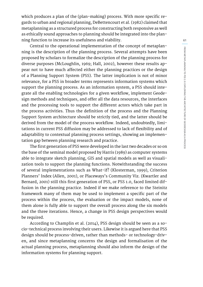**61** FROM META NNING TO PSS 2.0: EXPLORING THE ARCHITECTURE OF GEODESIGN AS A PROCESS **FROM METAPLANNING TO PSS 2.0: EXPLORING THE ARCHITECTURE OF GEODESIGN AS A PROCESS**

which produces a plan of the (plan-making) process. With more specific regards to urban and regional planning, DeBettencourt et al. (1982) claimed that metaplanning as a structured process for constructing both responsive as well as ethically sound approaches to planning should be integrated into the planning function to increase its usefulness and viability.

Central to the operational implementation of the concept of metaplanning is the description of the planning process. Several attempts have been proposed by scholars to formalize the description of the planning process for diverse purposes (McLoughlin, 1969; Hall, 2002), however these results appear not to have much affected either the planning practices or the design of a Planning Support System (PSS). The latter implication is not of minor relevance, for a PSS in broader terms represents information systems which support the planning process. As an information system, a PSS should integrate all the enabling technologies for a given workflow, implement Geodesign methods and techniques, and offer all the data resources, the interfaces and the processing tools to support the different actors which take part in the process activities. Thus the definition of the process and the Planning Support System architecture should be strictly tied, and the latter should be derived from the model of the process workflow. Indeed, undoubtedly, limitations in current PSS diffusion may be addressed to lack of flexibility and of adaptability to contextual planning process settings, showing an implementation gap between planning research and practice.

The first generation of PSS were developed in the last two decades or so on the base of the seminal model proposed by Harris (1989) as computer systems able to integrate sketch planning, GIS and spatial models as well as visualization tools to support the planning functions. Notwithstanding the success of several implementations such as What-if? (Klosterman, 1999), Criterion Planners' Index (Allen, 2001), or Placeways's Community Viz. (Kwartler and Bernard, 2001) still this first generation of PSS, or PSS 1.0, faced limited diffusion in the planning practice. Indeed if we make reference to the Steinitz framework many of them may be used to implement a specific part of the process within the process, the evaluation or the impact models, none of them alone is fully able to support the overall process along the six models and the three iterations. Hence, a change in PSS design perspectives would be required.

According to Champlin et al. (2014), PSS design should be seen as a socio-technical process involving their users. Likewise it is argued here that PSS design should be process-driven, rather than methods- or technology-driven, and since metaplanning concerns the design and formalisation of the actual planning process, metaplanning should also inform the design of the information systems for planning support.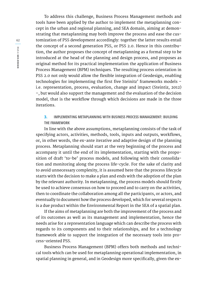To address this challenge, Business Process Management methods and tools have been applied by the author to implement the metaplanning concept in the urban and regional planning, and SEA domain, aiming at demonstrating that metaplanning may both improve the process and ease the customization of PSS development accordingly: together the latter results entail the concept of a second generation PSS, or PSS 2.0. Hence in this contribution, the author proposes the concept of metaplanning as a formal step to be introduced at the head of the planning and design process, and proposes as original method for its practical implementation the application of Business Process Management (BPM) techniques. The resulting process orientation in PSS 2.0 not only would allow the flexible integration of Geodesign, enabling technologies for implementing the first five Steinitz' frameworks models – i.e. representation, process, evaluation, change and impact (Steintiz, 2012) –, but would also support the management and the evaluation of the decision model, that is the workflow through which decisions are made in the three iterations.

## **3. IMPLEMENTING METAPLANNING WITH BUSINESS PROCESS MANAGEMENT: BUILDING THE FRAMEWORK**

In line with the above assumptions, metaplanning consists of the task of specifying actors, activities, methods, tools, inputs and outputs, workflows, or, in other words, the ex-ante iterative and adaptive design of the planning process. Metaplanning should start at the very beginning of the process and accompany it until the end of its implementation, starting with the proposition of draft 'to-be' process models, and following with their consolidation and monitoring along the process life-cycle. For the sake of clarity and to avoid unnecessary complexity, it is assumed here that the process lifecycle starts with the decision to make a plan and ends with the adoption of the plan by the relevant authority. In metaplanning, the process models should firstly be used to achieve consensus on how to proceed and to carry on the activities, then to coordinate the collaboration among all the participants, or actors, and eventually to document how the process developed, which for several respects is a due product within the Environmental Report in the SEA of a spatial plan.

If the aims of metaplanning are both the improvement of the process and of its outcomes as well as its management and implementation, hence the needs arise for a representation language which can describe the process with regards to its components and to their relationships, and for a technology framework able to support the integration of the necessary tools into process-oriented PSS.

Business Process Management (BPM) offers both methods and technical tools which can be used for metaplanning operational implementation, in spatial planning in general, and in Geodesign more specifically, given the ex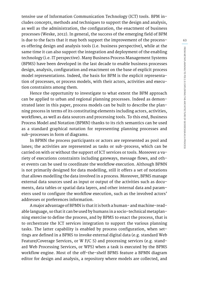tensive use of Information Communication Technology (ICT) tools. BPM includes concepts, methods and techniques to support the design and analysis, as well as the administration, the configuration, the enactment of business processes (Weske, 2012). In general, the success of the emerging field of BPM is due to the facts that it may both support the improvement of the processes offering design and analysis tools (i.e. business perspective), while at the same time it can also support the integration and deployment of the enabling technology (i.e. IT perspective). Many Business Process Management Systems (BPMS) have been developed in the last decade to enable business processes design, analysis, configuration and enactment on the base of explicit process model representations. Indeed, the basis for BPM is the explicit representation of processes, or process models, with their actors, activities and execution constraints among them.

Hence the opportunity to investigate to what extent the BPM approach can be applied to urban and regional planning processes. Indeed as demonstrated later in this paper, process models can be built to describe the planning process in terms of its constituting elements including actors, activities, workflows, as well as data sources and processing tools. To this end, Business Process Model and Notation (BPMN) thanks to its rich semantics can be used as a standard graphical notation for representing planning processes and sub-processes in form of diagrams.

In BPMN the process participants or actors are represented as pool and lanes; the activities are represented as tasks or sub-process, which can be carried on with or without the support of ICT services or tools. Moreover a variety of executions constraints including gateways, message flows, and other events can be used to coordinate the workflow execution. Although BPMN is not primarily designed for data modelling, still it offers a set of notations that allows modelling the data involved in a process. Moreover, BPMS manage external data sources used as input or output of the activities such as documents, data tables or spatial data layers, and other internal data and parameters used to configure the workflow execution, such as the involved actors' addresses or preferences information.

A major advantage of BPMN is that it is both a human- and machine-readable language, so that it can be used by humans in a socio-technical metaplanning exercise to define the process, and by BPMS to enact the process, that is to orchestrate the ICT services integration to support the various planning tasks. The latter capability is enabled by process configuration, when settings are defined in a BPMS to invoke external digital data (e.g. standard Web Feature/Coverage Services, or W F/C S) and processing services (e.g. standard Web Processing Services, or WPS) when a task is executed by the BPMS workflow engine. Most of the off-the-shelf BPMS feature a BPMN diagram editor for design and analysis, a repository where models are collected, and **63**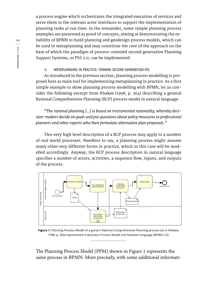a process engine which orchestrates the integrated execution of services and serve them to the relevant actor interfaces to support the implementation of planning tasks at run time. In the remainder, some simple planning process examples are presented as proof of concepts, aiming at demonstrating the reliability of BPMN to build planning and geodesign process models, which can be used in metaplanning and may constitute the core of the approach on the base of which the paradigm of process-oriented second generation Planning Support Systems, or PSS 2.0, can be implemented.

### **4. METAPLANNING IN PRACTICE: TOWARD SECOND GENERATION PSS**

As introduced in the previous section, planning process modelling is proposed here as main tool for implementing metaplanning in practice. As a first simple example to show planning process modelling with BPMN, let us consider the following excerpt from Khakee (1998, p. 364) describing a general Rational Comprehensive Planning (RCP) process model in natural language:

*"The rational planning […] is based on instrumental rationality, whereby decision-makers decide on goals and put questions about policy measures to professional planners and other experts who then formulate alternative plan proposals."*

This very high level description of a RCP process may apply to a number of real world processes. Needless to say, a planning process might assume many other very different forms in practice, which in this case will be modelled accordingly. Anyway, the RCP process description in natural language specifies a number of actors, activities, a sequence flow, inputs, and outputs of the process.



**Figure 1.** Planning Process Model of a generic Rational Comprehensive Planning process (as in Khakee, 1998, p. 364) represented in Business Process Model and Notation language (BPMN 2.0).

The Planning Process Model (PPM) shown in Figure 1 represents the same process in BPMN. More precisely, with some additional informati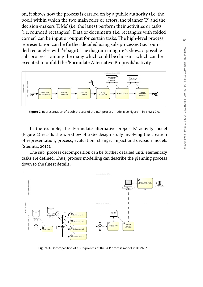on, it shows how the process is carried on by a public authority (i.e. the pool) within which the two main roles or actors, the planner 'P' and the decision-makers 'DMs' (i.e. the lanes) perform their activities or tasks (i.e. rounded rectangles). Data or documents (i.e. rectangles with folded corner) can be input or output for certain tasks. The high-level process representation can be further detailed using sub-processes (i.e. rounded rectangles with '+' sign). The diagram in figure 2 shows a possible sub-process – among the many which could be chosen – which can be executed to unfold the 'Formulate Alternative Proposals' activity.



**Figure 2.** Representation of a sub-process of the RCP process model (see Figure 1) in BPMN 2.0.

In the example, the 'Formulate alternative proposals' activity model (Figure 2) recalls the workflow of a Geodesign study involving the creation of representation, process, evaluation, change, impact and decision models (Steinitz, 2012).

The sub-process decomposition can be further detailed until elementary tasks are defined. Thus, process modelling can describe the planning process down to the finest details.



**Figure 3.** Decomposition of a sub-process of the RCP process model in BPMN 2.0.

**65**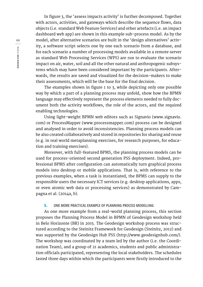In figure 3, the 'assess impacts activity' is further decomposed. Together with actors, activities, and gateways which describe the sequence flows, data objects (i.e. standard Web Feature Services) and other artefacts (i.e. an impact dashboard web app) are shown in this example sub-process model. As by the model, after alternative scenarios are built in the 'design alternatives' activity, a software script selects one by one each scenario from a database, and for each scenario a number of processing models available in a remote server as standard Web Processing Services (WPS) are run to evaluate the scenario impact on air, water, soil and all the other natural and anthropogenic subsystems which may have been considered important by the participants. Afterwards, the results are saved and visualized for the decision-makers to make their assessments, which will be the base for the final decision.

The examples shown in figure 1 to 3, while depicting only one possible way by which a part of a planning process may unfold, show how the BPMN language may effectively represent the process elements needed to fully document both the activity workflows, the role of the actors, and the required enabling technologies.

Using light-weight BPMN web editors such as Signavio (www.signavio. com) or ProcessMapper (www.processmapper.com) process can be designed and analysed in order to avoid inconsistencies. Planning process models can be also created collaboratively and stored in repositories for sharing and reuse (e.g. in real world metaplanning exercises, for research purposes, for education and training exercises).

Moreover, with full-featured BPMS, the planning process models can be used for process-oriented second generation PSS deployment. Indeed, professional BPMS after configuration can automatically turn graphical process models into desktop or mobile applications. That is, with reference to the previous examples, when a task is instantiated, the BPMS can supply to the responsible users the necessary ICT services (e.g. desktop applications, apps, or even atomic web data or processing services) as demonstrated by Campagna et al. (2014a, b).

#### **5. ONE MORE PRACTICAL EXAMPLE OF PLANNING PROCESS MODELLING**

As one more example from a real-world planning process, this section proposes the Planning Process Model in BPMN of Geodesign workshop held in Belo Horizonte (BR) in 2015. The Geodesign workshop process was structured according to the Steinitz Framework for Geodesign (Steinitz, 2012) and was supported by the Geodesign Hub PSS (http://www.geodesignhub.com/). The workshop was coordinated by a team led by the author (i.e. the Coordination Team), and a group of 21 academics, students and public administration officials participated, representing the local stakeholders. The schedules lasted three days within which the participants were firstly introduced to the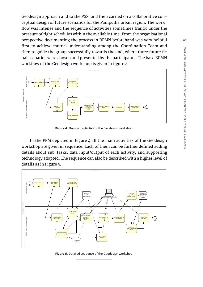Geodesign approach and to the PSS, and then carried on a collaborative conceptual design of future scenarios for the Pampulha urban region. The workflow was intense and the sequence of activities sometimes frantic under the pressure of tight schedules within the available time. From the organisational perspective documenting the process in BPMN beforehand was very helpful first to achieve mutual understanding among the Coordination Team and then to guide the group successfully towards the end, where three future final scenarios were chosen and presented by the participants. The base BPMN workflow of the Geodesign workshop is given in figure 4.



**Figure 4.** The main activities of the Geodesign workshop.

In the PPM depicted in Figure 4 all the main activities of the Geodesign workshop are given in sequence. Each of them can be further defined adding details about sub-tasks, data input/output of each activity, and supporting technology adopted. The sequence can also be described with a higher level of details as in Figure 5.



**Figure 5.** Detailed sequence of the Geodesign workshop.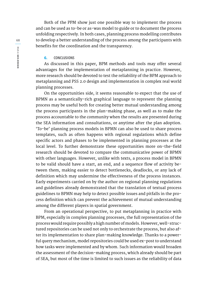Both of the PPM show just one possible way to implement the process and can be used as to-be or as-was model to guide or to document the process unfolding respectively. In both cases, planning process modelling contributes to develop a better understanding of the process among the participants with benefits for the coordination and the transparency.

#### **6. CONCLUSIONS**

As discussed in this paper, BPM methods and tools may offer several advantages for the implementation of metaplanning in practice. However, more research should be devoted to test the reliability of the BPM approach to metaplanning and PSS 2.0 design and implementation in complex real world planning processes.

On the opportunities side, it seems reasonable to expect that the use of BPMN as a semantically-rich graphical language to represent the planning process may be useful both for creating better mutual understanding among the process participants in the plan-making phase, as well as to make the process accountable to the community when the results are presented during the SEA information and consultations, or anytime after the plan adoption. 'To-be' planning process models in BPMN can also be used to share process templates, such as often happens with regional regulations which define specific actors and phases to be implemented in planning processes at the local level. To further demonstrate these opportunities more on-the-field research should be devoted to compare the communicative power of BPMN with other languages. However, unlike with texts, a process model in BPMN to be valid should have a start, an end, and a sequence flow of activity between them, making easier to detect bottlenecks, deadlocks, or any lack of definition which may undermine the effectiveness of the process instances. Early experiments carried on by the author on regional planning regulations and guidelines already demonstrated that the translation of textual process guidelines to BPMN may help to detect possible issues and pitfalls in the process definition which can prevent the achievement of mutual understanding among the different players in spatial government.

From an operational perspective, to put metaplanning in practice with BPM, especially in complex planning processes, the full representation of the process would require possibly a high number of models. However, well-structured repositories can be used not only to orchestrate the process, but also after its implementation to share plan-making knowledge. Thanks to a powerful query mechanism, model repositories could be used ex-post to understand how tasks were implemented and by whom. Such information would broaden the assessment of the decision-making process, which already should be part of SEA, but most of the time is limited to such issues as the reliability of data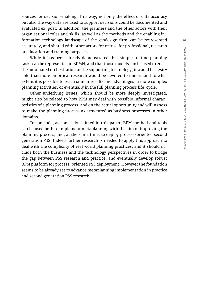sources for decision-making. This way, not only the effect of data accuracy but also the way data are used to support decisions could be documented and evaluated ex-post. In addition, the planners and the other actors with their organisational roles and skills, as well as the methods and the enabling information technology landscape of the geodesign firm, can be represented accurately, and shared with other actors for re-use for professional, research or education and training purposes.

While it has been already demonstrated that simple routine planning tasks can be represented in BPMN, and that those models can be used to enact the automated orchestration of the supporting technology, it would be desirable that more empirical research would be devoted to understand to what extent it is possible to reach similar results and advantages in more complex planning activities, or eventually in the full planning process life-cycle.

Other underlying issues, which should be more deeply investigated, might also be related to how BPM may deal with possible informal characteristics of a planning process, and on the actual opportunity and willingness to make the planning process as structured as business processes in other domains.

To conclude, as concisely claimed in this paper, BPM method and tools can be used both to implement metaplanning with the aim of improving the planning process, and, at the same time, to deploy process-oriented second generation PSS. Indeed further research is needed to apply this approach to deal with the complexity of real world planning practices, and it should include both the business and the technology perspectives in order to bridge the gap between PSS research and practice, and eventually develop robust BPM platform for process-oriented PSS deployment. However the foundation seems to be already set to advance metaplanning implementation in practice and second generation PSS research.